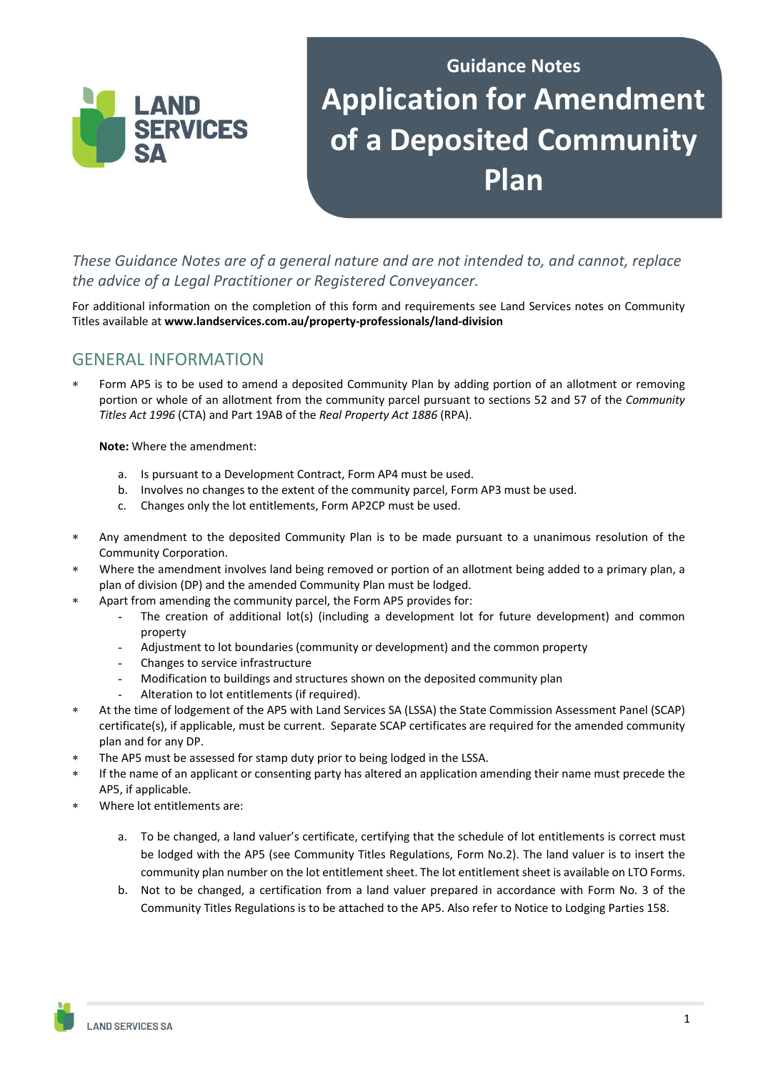# **Guidance Notes Application for Amendment of a Deposited Community Plan**

*These Guidance Notes are of a general nature and are not intended to, and cannot, replace the advice of a Legal Practitioner or Registered Conveyancer.* 

For additional information on the completion of this form and requirements see Land Services notes on Community Titles available at **www.landservices.com.au/property‐professionals/land‐division**

# GENERAL INFORMATION

LAND

**SERVICES** 

 Form AP5 is to be used to amend a deposited Community Plan by adding portion of an allotment or removing portion or whole of an allotment from the community parcel pursuant to sections 52 and 57 of the *Community Titles Act 1996* (CTA) and Part 19AB of the *Real Property Act 1886* (RPA).

**Note:** Where the amendment:

- a. Is pursuant to a Development Contract, Form AP4 must be used.
- b. Involves no changes to the extent of the community parcel, Form AP3 must be used.
- c. Changes only the lot entitlements, Form AP2CP must be used.
- Any amendment to the deposited Community Plan is to be made pursuant to a unanimous resolution of the Community Corporation.
- Where the amendment involves land being removed or portion of an allotment being added to a primary plan, a plan of division (DP) and the amended Community Plan must be lodged.
- Apart from amending the community parcel, the Form AP5 provides for:
	- The creation of additional lot(s) (including a development lot for future development) and common property
	- Adjustment to lot boundaries (community or development) and the common property
	- Changes to service infrastructure
	- Modification to buildings and structures shown on the deposited community plan
	- Alteration to lot entitlements (if required).
- At the time of lodgement of the AP5 with Land Services SA (LSSA) the State Commission Assessment Panel (SCAP) certificate(s), if applicable, must be current. Separate SCAP certificates are required for the amended community plan and for any DP.
- The AP5 must be assessed for stamp duty prior to being lodged in the LSSA.
- If the name of an applicant or consenting party has altered an application amending their name must precede the AP5, if applicable.
- Where lot entitlements are:
	- a. To be changed, a land valuer's certificate, certifying that the schedule of lot entitlements is correct must be lodged with the AP5 (see Community Titles Regulations, Form No.2). The land valuer is to insert the community plan number on the lot entitlement sheet. The lot entitlement sheet is available on LTO Forms.
	- b. Not to be changed, a certification from a land valuer prepared in accordance with Form No. 3 of the Community Titles Regulations is to be attached to the AP5. Also refer to Notice to Lodging Parties 158.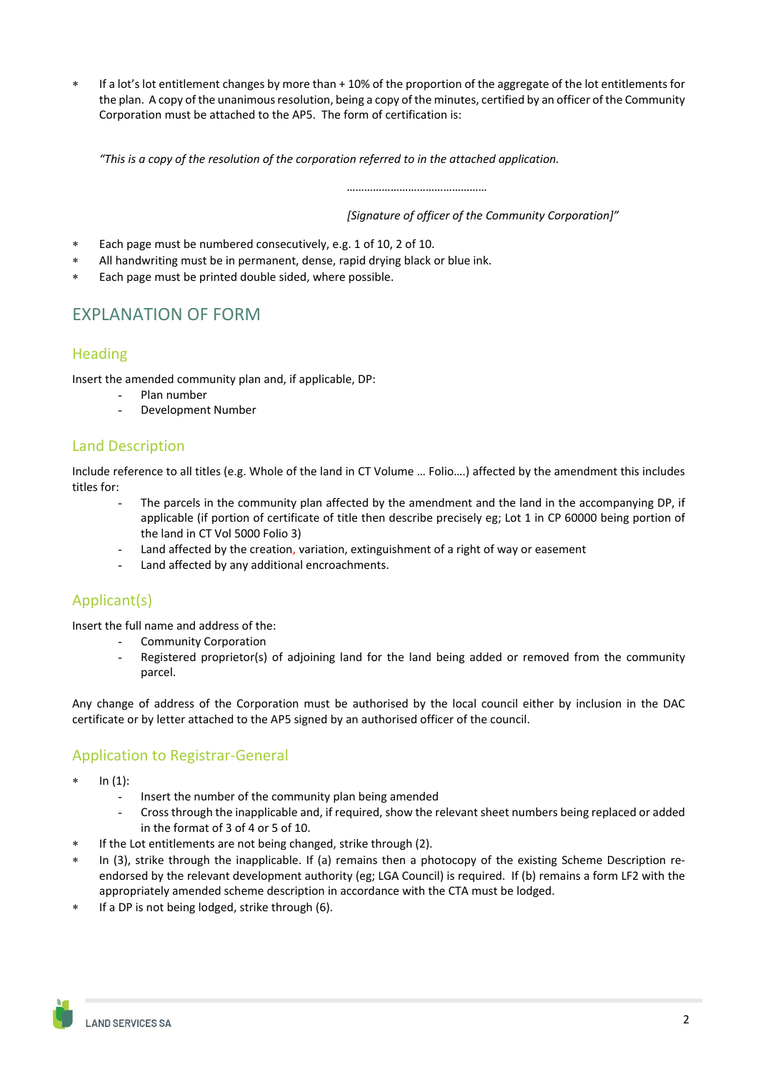If a lot's lot entitlement changes by more than + 10% of the proportion of the aggregate of the lot entitlements for the plan. A copy of the unanimous resolution, being a copy of the minutes, certified by an officer of the Community Corporation must be attached to the AP5. The form of certification is:

*"This is a copy of the resolution of the corporation referred to in the attached application.*

*…………………………………………*

*[Signature of officer of the Community Corporation]"*

- Each page must be numbered consecutively, e.g. 1 of 10, 2 of 10.
- All handwriting must be in permanent, dense, rapid drying black or blue ink.
- Each page must be printed double sided, where possible.

# EXPLANATION OF FORM

#### **Heading**

Insert the amended community plan and, if applicable, DP:

- Plan number
	- Development Number

#### Land Description

Include reference to all titles (e.g. Whole of the land in CT Volume … Folio….) affected by the amendment this includes titles for:

- The parcels in the community plan affected by the amendment and the land in the accompanying DP, if applicable (if portion of certificate of title then describe precisely eg; Lot 1 in CP 60000 being portion of the land in CT Vol 5000 Folio 3)
- Land affected by the creation, variation, extinguishment of a right of way or easement
- Land affected by any additional encroachments.

# Applicant(s)

Insert the full name and address of the:

- Community Corporation
- Registered proprietor(s) of adjoining land for the land being added or removed from the community parcel.

Any change of address of the Corporation must be authorised by the local council either by inclusion in the DAC certificate or by letter attached to the AP5 signed by an authorised officer of the council.

## Application to Registrar-General

- In (1):
	- Insert the number of the community plan being amended
	- Cross through the inapplicable and, if required, show the relevant sheet numbers being replaced or added in the format of 3 of 4 or 5 of 10.
- If the Lot entitlements are not being changed, strike through (2).
- In (3), strike through the inapplicable. If (a) remains then a photocopy of the existing Scheme Description reendorsed by the relevant development authority (eg; LGA Council) is required. If (b) remains a form LF2 with the appropriately amended scheme description in accordance with the CTA must be lodged.
- If a DP is not being lodged, strike through (6).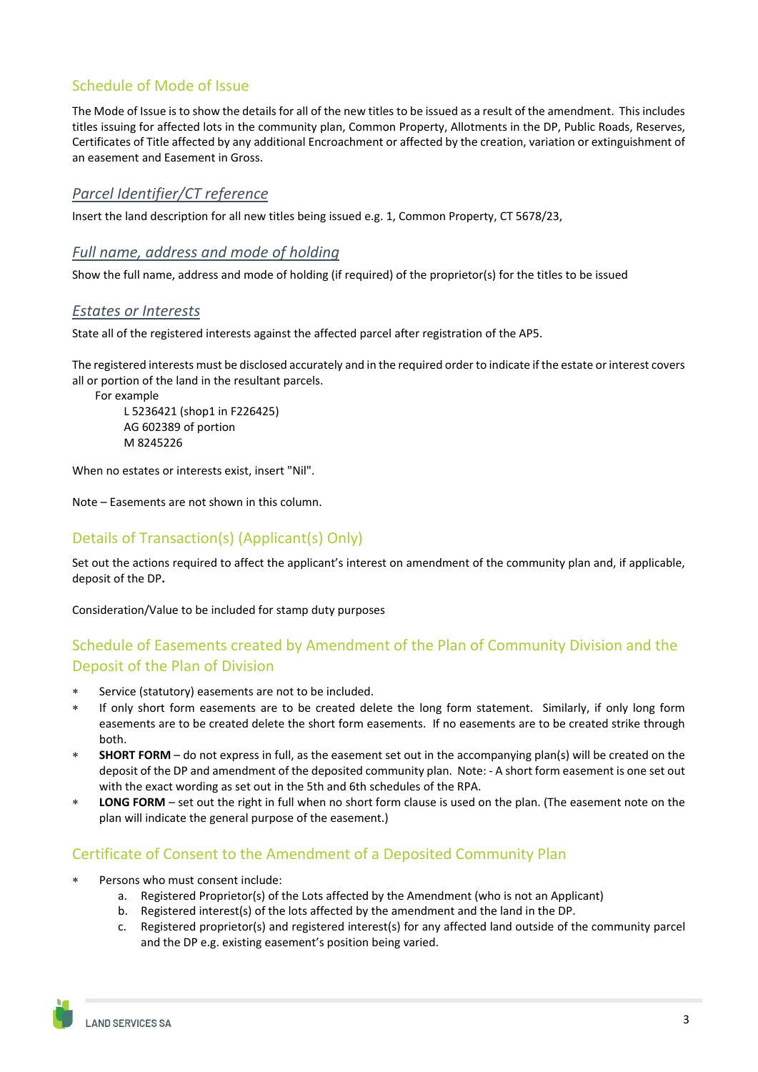## Schedule of Mode of Issue

The Mode of Issue is to show the details for all of the new titles to be issued as a result of the amendment. This includes titles issuing for affected lots in the community plan, Common Property, Allotments in the DP, Public Roads, Reserves, Certificates of Title affected by any additional Encroachment or affected by the creation, variation or extinguishment of an easement and Easement in Gross.

### *Parcel Identifier/CT reference*

Insert the land description for all new titles being issued e.g. 1, Common Property, CT 5678/23,

#### *Full name, address and mode of holding*

Show the full name, address and mode of holding (if required) of the proprietor(s) for the titles to be issued

#### *Estates or Interests*

State all of the registered interests against the affected parcel after registration of the AP5.

The registered interests must be disclosed accurately and in the required order to indicate if the estate or interest covers all or portion of the land in the resultant parcels.

For example

 L 5236421 (shop1 in F226425) AG 602389 of portion M 8245226

When no estates or interests exist, insert "Nil".

Note – Easements are not shown in this column.

### Details of Transaction(s) (Applicant(s) Only)

Set out the actions required to affect the applicant's interest on amendment of the community plan and, if applicable, deposit of the DP**.**

Consideration/Value to be included for stamp duty purposes

## Schedule of Easements created by Amendment of the Plan of Community Division and the Deposit of the Plan of Division

- Service (statutory) easements are not to be included.
- If only short form easements are to be created delete the long form statement. Similarly, if only long form easements are to be created delete the short form easements. If no easements are to be created strike through both.
- **SHORT FORM** do not express in full, as the easement set out in the accompanying plan(s) will be created on the deposit of the DP and amendment of the deposited community plan. Note: - A short form easement is one set out with the exact wording as set out in the 5th and 6th schedules of the RPA.
- **LONG FORM** set out the right in full when no short form clause is used on the plan. (The easement note on the plan will indicate the general purpose of the easement.)

## Certificate of Consent to the Amendment of a Deposited Community Plan

- Persons who must consent include:
	- a. Registered Proprietor(s) of the Lots affected by the Amendment (who is not an Applicant)
	- b. Registered interest(s) of the lots affected by the amendment and the land in the DP.
	- c. Registered proprietor(s) and registered interest(s) for any affected land outside of the community parcel and the DP e.g. existing easement's position being varied.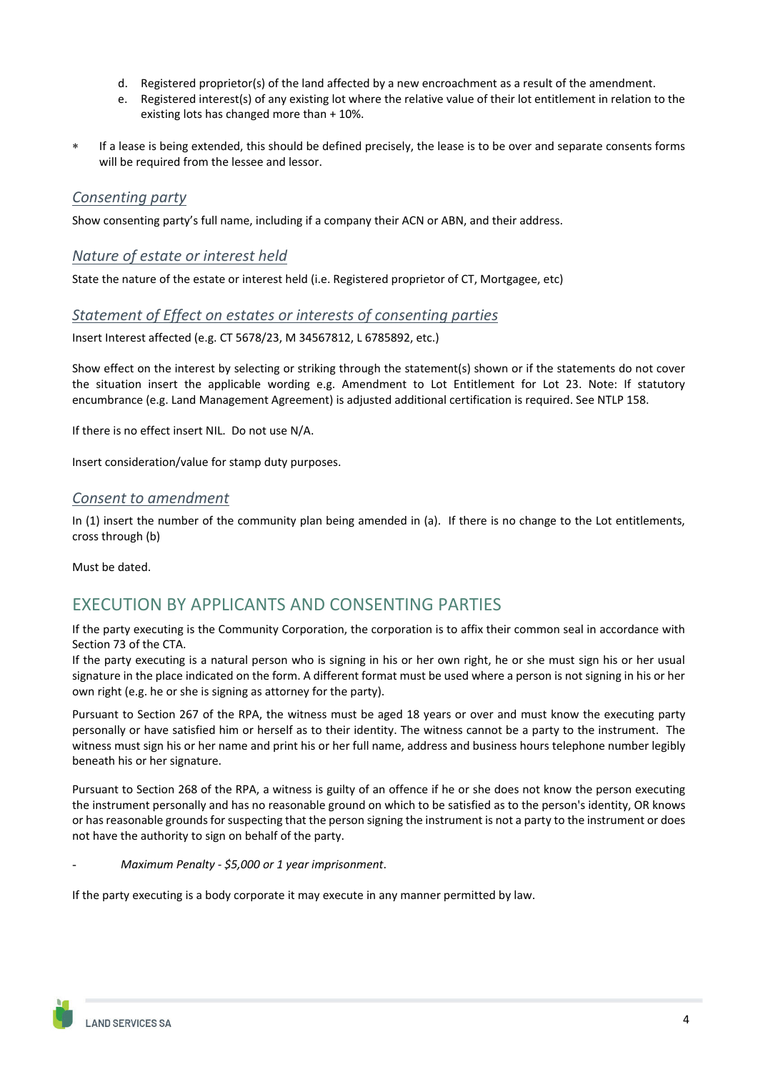- d. Registered proprietor(s) of the land affected by a new encroachment as a result of the amendment.
- e. Registered interest(s) of any existing lot where the relative value of their lot entitlement in relation to the existing lots has changed more than + 10%.
- If a lease is being extended, this should be defined precisely, the lease is to be over and separate consents forms will be required from the lessee and lessor.

#### *Consenting party*

Show consenting party's full name, including if a company their ACN or ABN, and their address.

#### *Nature of estate or interest held*

State the nature of the estate or interest held (i.e. Registered proprietor of CT, Mortgagee, etc)

#### *Statement of Effect on estates or interests of consenting parties*

Insert Interest affected (e.g. CT 5678/23, M 34567812, L 6785892, etc.)

Show effect on the interest by selecting or striking through the statement(s) shown or if the statements do not cover the situation insert the applicable wording e.g. Amendment to Lot Entitlement for Lot 23. Note: If statutory encumbrance (e.g. Land Management Agreement) is adjusted additional certification is required. See NTLP 158.

If there is no effect insert NIL. Do not use N/A.

Insert consideration/value for stamp duty purposes.

#### *Consent to amendment*

In (1) insert the number of the community plan being amended in (a). If there is no change to the Lot entitlements, cross through (b)

Must be dated.

# EXECUTION BY APPLICANTS AND CONSENTING PARTIES

If the party executing is the Community Corporation, the corporation is to affix their common seal in accordance with Section 73 of the CTA.

If the party executing is a natural person who is signing in his or her own right, he or she must sign his or her usual signature in the place indicated on the form. A different format must be used where a person is not signing in his or her own right (e.g. he or she is signing as attorney for the party).

Pursuant to Section 267 of the RPA, the witness must be aged 18 years or over and must know the executing party personally or have satisfied him or herself as to their identity. The witness cannot be a party to the instrument. The witness must sign his or her name and print his or her full name, address and business hours telephone number legibly beneath his or her signature.

Pursuant to Section 268 of the RPA, a witness is guilty of an offence if he or she does not know the person executing the instrument personally and has no reasonable ground on which to be satisfied as to the person's identity, OR knows or has reasonable grounds for suspecting that the person signing the instrument is not a party to the instrument or does not have the authority to sign on behalf of the party.

- *Maximum Penalty ‐ \$5,000 or 1 year imprisonment*.

If the party executing is a body corporate it may execute in any manner permitted by law.